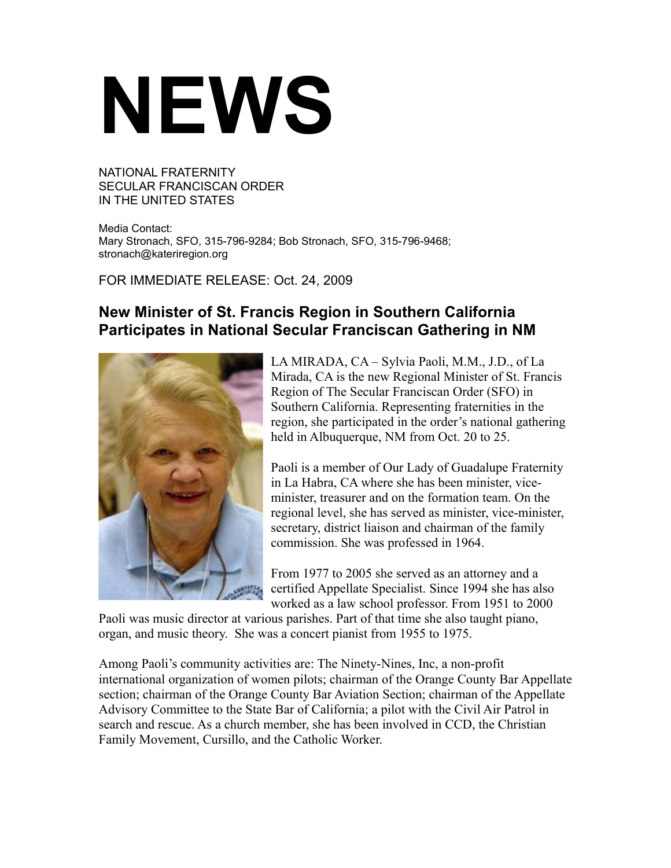## **NEWS**

NATIONAL FRATERNITY SECULAR FRANCISCAN ORDER IN THE UNITED STATES

Media Contact: Mary Stronach, SFO, 315-796-9284; Bob Stronach, SFO, 315-796-9468; stronach@kateriregion.org

FOR IMMEDIATE RELEASE: Oct. 24, 2009

## **New Minister of St. Francis Region in Southern California Participates in National Secular Franciscan Gathering in NM**



LA MIRADA, CA – Sylvia Paoli, M.M., J.D., of La Mirada, CA is the new Regional Minister of St. Francis Region of The Secular Franciscan Order (SFO) in Southern California. Representing fraternities in the region, she participated in the order's national gathering held in Albuquerque, NM from Oct. 20 to 25.

Paoli is a member of Our Lady of Guadalupe Fraternity in La Habra, CA where she has been minister, viceminister, treasurer and on the formation team. On the regional level, she has served as minister, vice-minister, secretary, district liaison and chairman of the family commission. She was professed in 1964.

From 1977 to 2005 she served as an attorney and a certified Appellate Specialist. Since 1994 she has also worked as a law school professor. From 1951 to 2000

Paoli was music director at various parishes. Part of that time she also taught piano, organ, and music theory. She was a concert pianist from 1955 to 1975.

Among Paoli's community activities are: The Ninety-Nines, Inc, a non-profit international organization of women pilots; chairman of the Orange County Bar Appellate section; chairman of the Orange County Bar Aviation Section; chairman of the Appellate Advisory Committee to the State Bar of California; a pilot with the Civil Air Patrol in search and rescue. As a church member, she has been involved in CCD, the Christian Family Movement, Cursillo, and the Catholic Worker.